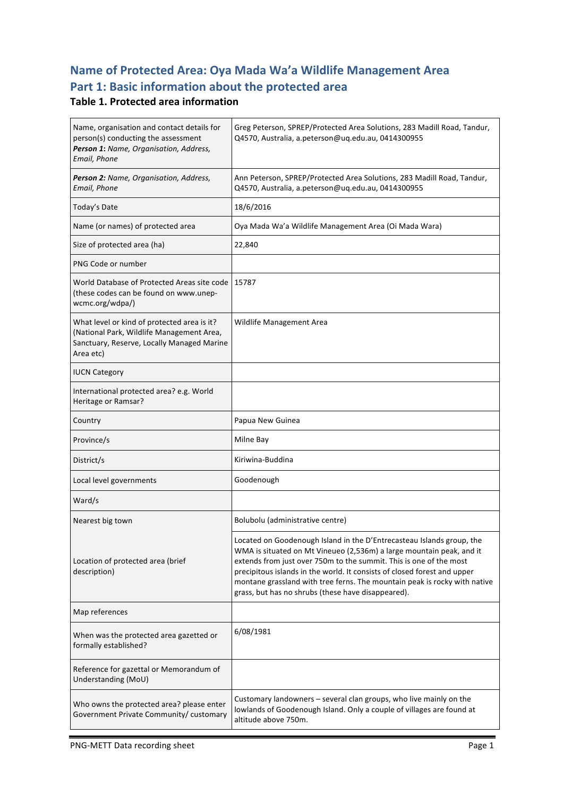### **Name of Protected Area: Oya Mada Wa'a Wildlife Management Area** Part 1: Basic information about the protected area

#### **Table 1. Protected area information**

| Name, organisation and contact details for<br>person(s) conducting the assessment<br>Person 1: Name, Organisation, Address,<br>Email, Phone         | Greg Peterson, SPREP/Protected Area Solutions, 283 Madill Road, Tandur,<br>Q4570, Australia, a.peterson@uq.edu.au, 0414300955                                                                                                                                                                                                                                                                                                      |  |
|-----------------------------------------------------------------------------------------------------------------------------------------------------|------------------------------------------------------------------------------------------------------------------------------------------------------------------------------------------------------------------------------------------------------------------------------------------------------------------------------------------------------------------------------------------------------------------------------------|--|
| Person 2: Name, Organisation, Address,<br>Email, Phone                                                                                              | Ann Peterson, SPREP/Protected Area Solutions, 283 Madill Road, Tandur,<br>Q4570, Australia, a.peterson@uq.edu.au, 0414300955                                                                                                                                                                                                                                                                                                       |  |
| Today's Date                                                                                                                                        | 18/6/2016                                                                                                                                                                                                                                                                                                                                                                                                                          |  |
| Name (or names) of protected area                                                                                                                   | Oya Mada Wa'a Wildlife Management Area (Oi Mada Wara)                                                                                                                                                                                                                                                                                                                                                                              |  |
| Size of protected area (ha)                                                                                                                         | 22,840                                                                                                                                                                                                                                                                                                                                                                                                                             |  |
| PNG Code or number                                                                                                                                  |                                                                                                                                                                                                                                                                                                                                                                                                                                    |  |
| World Database of Protected Areas site code<br>(these codes can be found on www.unep-<br>wcmc.org/wdpa/)                                            | 15787                                                                                                                                                                                                                                                                                                                                                                                                                              |  |
| What level or kind of protected area is it?<br>(National Park, Wildlife Management Area,<br>Sanctuary, Reserve, Locally Managed Marine<br>Area etc) | Wildlife Management Area                                                                                                                                                                                                                                                                                                                                                                                                           |  |
| <b>IUCN Category</b>                                                                                                                                |                                                                                                                                                                                                                                                                                                                                                                                                                                    |  |
| International protected area? e.g. World<br>Heritage or Ramsar?                                                                                     |                                                                                                                                                                                                                                                                                                                                                                                                                                    |  |
| Country                                                                                                                                             | Papua New Guinea                                                                                                                                                                                                                                                                                                                                                                                                                   |  |
| Province/s                                                                                                                                          | Milne Bay                                                                                                                                                                                                                                                                                                                                                                                                                          |  |
| District/s                                                                                                                                          | Kiriwina-Buddina                                                                                                                                                                                                                                                                                                                                                                                                                   |  |
| Local level governments                                                                                                                             | Goodenough                                                                                                                                                                                                                                                                                                                                                                                                                         |  |
| Ward/s                                                                                                                                              |                                                                                                                                                                                                                                                                                                                                                                                                                                    |  |
| Nearest big town                                                                                                                                    | Bolubolu (administrative centre)                                                                                                                                                                                                                                                                                                                                                                                                   |  |
| Location of protected area (brief<br>description)                                                                                                   | Located on Goodenough Island in the D'Entrecasteau Islands group, the<br>WMA is situated on Mt Vineueo (2,536m) a large mountain peak, and it<br>extends from just over 750m to the summit. This is one of the most<br>precipitous islands in the world. It consists of closed forest and upper<br>montane grassland with tree ferns. The mountain peak is rocky with native<br>grass, but has no shrubs (these have disappeared). |  |
| Map references                                                                                                                                      |                                                                                                                                                                                                                                                                                                                                                                                                                                    |  |
| When was the protected area gazetted or<br>formally established?                                                                                    | 6/08/1981                                                                                                                                                                                                                                                                                                                                                                                                                          |  |
| Reference for gazettal or Memorandum of<br>Understanding (MoU)                                                                                      |                                                                                                                                                                                                                                                                                                                                                                                                                                    |  |
| Who owns the protected area? please enter<br>Government Private Community/ customary                                                                | Customary landowners - several clan groups, who live mainly on the<br>lowlands of Goodenough Island. Only a couple of villages are found at<br>altitude above 750m.                                                                                                                                                                                                                                                                |  |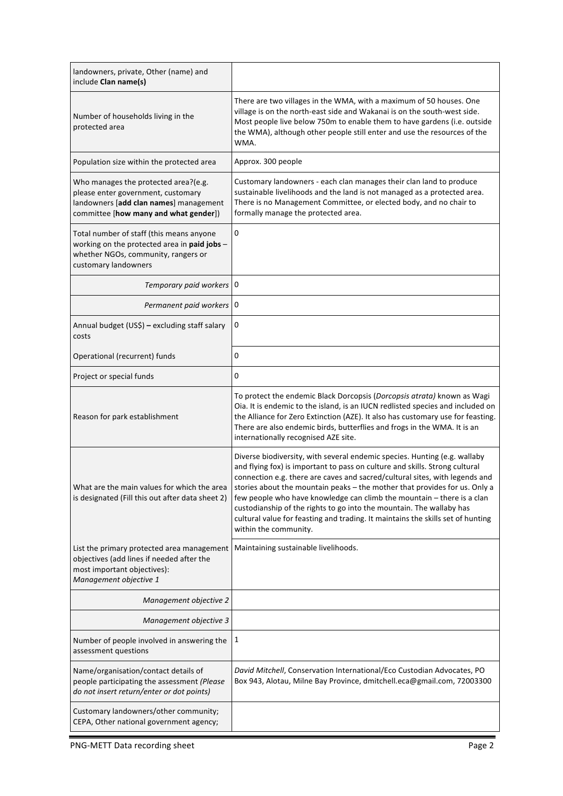| landowners, private, Other (name) and<br>include Clan name(s)                                                                                                 |                                                                                                                                                                                                                                                                                                                                                                                                                                                                                                                                                                                     |
|---------------------------------------------------------------------------------------------------------------------------------------------------------------|-------------------------------------------------------------------------------------------------------------------------------------------------------------------------------------------------------------------------------------------------------------------------------------------------------------------------------------------------------------------------------------------------------------------------------------------------------------------------------------------------------------------------------------------------------------------------------------|
| Number of households living in the<br>protected area                                                                                                          | There are two villages in the WMA, with a maximum of 50 houses. One<br>village is on the north-east side and Wakanai is on the south-west side.<br>Most people live below 750m to enable them to have gardens (i.e. outside<br>the WMA), although other people still enter and use the resources of the<br>WMA.                                                                                                                                                                                                                                                                     |
| Population size within the protected area                                                                                                                     | Approx. 300 people                                                                                                                                                                                                                                                                                                                                                                                                                                                                                                                                                                  |
| Who manages the protected area?(e.g.<br>please enter government, customary<br>landowners [add clan names] management<br>committee [how many and what gender]) | Customary landowners - each clan manages their clan land to produce<br>sustainable livelihoods and the land is not managed as a protected area.<br>There is no Management Committee, or elected body, and no chair to<br>formally manage the protected area.                                                                                                                                                                                                                                                                                                                        |
| Total number of staff (this means anyone<br>working on the protected area in paid jobs -<br>whether NGOs, community, rangers or<br>customary landowners       | 0                                                                                                                                                                                                                                                                                                                                                                                                                                                                                                                                                                                   |
| Temporary paid workers   0                                                                                                                                    |                                                                                                                                                                                                                                                                                                                                                                                                                                                                                                                                                                                     |
| Permanent paid workers   0                                                                                                                                    |                                                                                                                                                                                                                                                                                                                                                                                                                                                                                                                                                                                     |
| Annual budget (US\$) - excluding staff salary<br>costs                                                                                                        | 0                                                                                                                                                                                                                                                                                                                                                                                                                                                                                                                                                                                   |
| Operational (recurrent) funds                                                                                                                                 | 0                                                                                                                                                                                                                                                                                                                                                                                                                                                                                                                                                                                   |
| Project or special funds                                                                                                                                      | 0                                                                                                                                                                                                                                                                                                                                                                                                                                                                                                                                                                                   |
| Reason for park establishment                                                                                                                                 | To protect the endemic Black Dorcopsis (Dorcopsis atrata) known as Wagi<br>Oia. It is endemic to the island, is an IUCN redlisted species and included on<br>the Alliance for Zero Extinction (AZE). It also has customary use for feasting.<br>There are also endemic birds, butterflies and frogs in the WMA. It is an<br>internationally recognised AZE site.                                                                                                                                                                                                                    |
| What are the main values for which the area<br>is designated (Fill this out after data sheet 2)                                                               | Diverse biodiversity, with several endemic species. Hunting (e.g. wallaby<br>and flying fox) is important to pass on culture and skills. Strong cultural<br>connection e.g. there are caves and sacred/cultural sites, with legends and<br>stories about the mountain peaks - the mother that provides for us. Only a<br>few people who have knowledge can climb the mountain - there is a clan<br>custodianship of the rights to go into the mountain. The wallaby has<br>cultural value for feasting and trading. It maintains the skills set of hunting<br>within the community. |
| List the primary protected area management<br>objectives (add lines if needed after the<br>most important objectives):<br>Management objective 1              | Maintaining sustainable livelihoods.                                                                                                                                                                                                                                                                                                                                                                                                                                                                                                                                                |
| Management objective 2                                                                                                                                        |                                                                                                                                                                                                                                                                                                                                                                                                                                                                                                                                                                                     |
| Management objective 3                                                                                                                                        |                                                                                                                                                                                                                                                                                                                                                                                                                                                                                                                                                                                     |
| Number of people involved in answering the<br>assessment questions                                                                                            | 1                                                                                                                                                                                                                                                                                                                                                                                                                                                                                                                                                                                   |
| Name/organisation/contact details of<br>people participating the assessment (Please<br>do not insert return/enter or dot points)                              | David Mitchell, Conservation International/Eco Custodian Advocates, PO<br>Box 943, Alotau, Milne Bay Province, dmitchell.eca@gmail.com, 72003300                                                                                                                                                                                                                                                                                                                                                                                                                                    |
| Customary landowners/other community;<br>CEPA, Other national government agency;                                                                              |                                                                                                                                                                                                                                                                                                                                                                                                                                                                                                                                                                                     |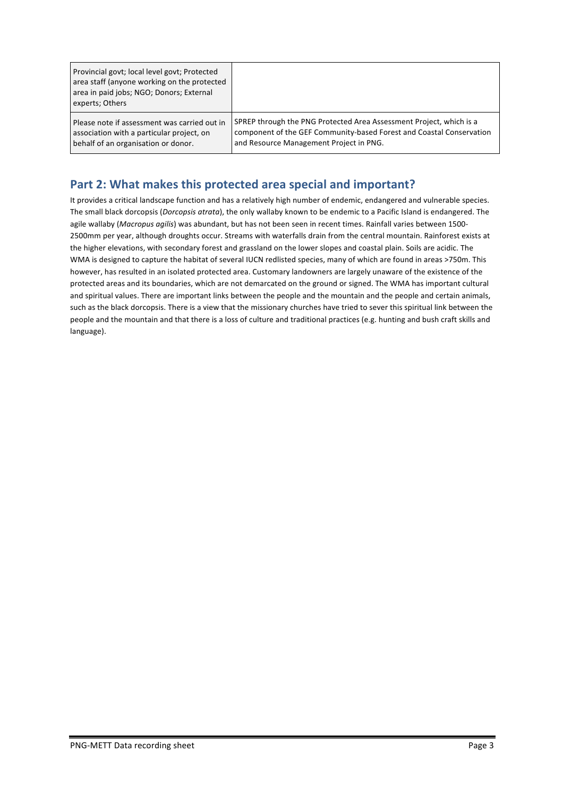| Provincial govt; local level govt; Protected<br>area staff (anyone working on the protected<br>area in paid jobs; NGO; Donors; External<br>experts; Others |                                                                      |
|------------------------------------------------------------------------------------------------------------------------------------------------------------|----------------------------------------------------------------------|
| Please note if assessment was carried out in                                                                                                               | SPREP through the PNG Protected Area Assessment Project, which is a  |
| association with a particular project, on                                                                                                                  | component of the GEF Community-based Forest and Coastal Conservation |
| behalf of an organisation or donor.                                                                                                                        | and Resource Management Project in PNG.                              |

#### Part 2: What makes this protected area special and important?

It provides a critical landscape function and has a relatively high number of endemic, endangered and vulnerable species. The small black dorcopsis (*Dorcopsis atrata*), the only wallaby known to be endemic to a Pacific Island is endangered. The agile wallaby (Macropus agilis) was abundant, but has not been seen in recent times. Rainfall varies between 1500-2500mm per year, although droughts occur. Streams with waterfalls drain from the central mountain. Rainforest exists at the higher elevations, with secondary forest and grassland on the lower slopes and coastal plain. Soils are acidic. The WMA is designed to capture the habitat of several IUCN redlisted species, many of which are found in areas >750m. This however, has resulted in an isolated protected area. Customary landowners are largely unaware of the existence of the protected areas and its boundaries, which are not demarcated on the ground or signed. The WMA has important cultural and spiritual values. There are important links between the people and the mountain and the people and certain animals, such as the black dorcopsis. There is a view that the missionary churches have tried to sever this spiritual link between the people and the mountain and that there is a loss of culture and traditional practices (e.g. hunting and bush craft skills and language).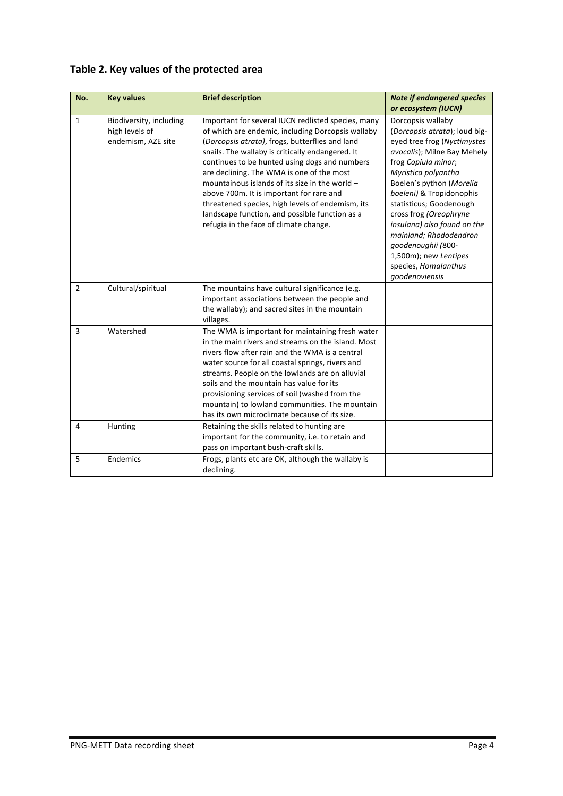| No.            | <b>Key values</b>                                               | <b>Brief description</b>                                                                                                                                                                                                                                                                                                                                                                                                                                                                                                                                   | <b>Note if endangered species</b><br>or ecosystem (IUCN)                                                                                                                                                                                                                                                                                                                                                                      |
|----------------|-----------------------------------------------------------------|------------------------------------------------------------------------------------------------------------------------------------------------------------------------------------------------------------------------------------------------------------------------------------------------------------------------------------------------------------------------------------------------------------------------------------------------------------------------------------------------------------------------------------------------------------|-------------------------------------------------------------------------------------------------------------------------------------------------------------------------------------------------------------------------------------------------------------------------------------------------------------------------------------------------------------------------------------------------------------------------------|
| $\mathbf{1}$   | Biodiversity, including<br>high levels of<br>endemism, AZE site | Important for several IUCN redlisted species, many<br>of which are endemic, including Dorcopsis wallaby<br>(Dorcopsis atrata), frogs, butterflies and land<br>snails. The wallaby is critically endangered. It<br>continues to be hunted using dogs and numbers<br>are declining. The WMA is one of the most<br>mountainous islands of its size in the world -<br>above 700m. It is important for rare and<br>threatened species, high levels of endemism, its<br>landscape function, and possible function as a<br>refugia in the face of climate change. | Dorcopsis wallaby<br>(Dorcopsis atrata); loud big-<br>eyed tree frog (Nyctimystes<br>avocalis); Milne Bay Mehely<br>frog Copiula minor;<br>Myristica polyantha<br>Boelen's python (Morelia<br>boeleni) & Tropidonophis<br>statisticus; Goodenough<br>cross frog (Oreophryne<br>insulana) also found on the<br>mainland; Rhododendron<br>goodenoughii (800-<br>1,500m); new Lentipes<br>species, Homalanthus<br>goodenoviensis |
| $\overline{2}$ | Cultural/spiritual                                              | The mountains have cultural significance (e.g.<br>important associations between the people and<br>the wallaby); and sacred sites in the mountain<br>villages.                                                                                                                                                                                                                                                                                                                                                                                             |                                                                                                                                                                                                                                                                                                                                                                                                                               |
| $\overline{3}$ | Watershed                                                       | The WMA is important for maintaining fresh water<br>in the main rivers and streams on the island. Most<br>rivers flow after rain and the WMA is a central<br>water source for all coastal springs, rivers and<br>streams. People on the lowlands are on alluvial<br>soils and the mountain has value for its<br>provisioning services of soil (washed from the<br>mountain) to lowland communities. The mountain<br>has its own microclimate because of its size.                                                                                          |                                                                                                                                                                                                                                                                                                                                                                                                                               |
| 4              | Hunting                                                         | Retaining the skills related to hunting are<br>important for the community, i.e. to retain and<br>pass on important bush-craft skills.                                                                                                                                                                                                                                                                                                                                                                                                                     |                                                                                                                                                                                                                                                                                                                                                                                                                               |
| 5              | Endemics                                                        | Frogs, plants etc are OK, although the wallaby is<br>declining.                                                                                                                                                                                                                                                                                                                                                                                                                                                                                            |                                                                                                                                                                                                                                                                                                                                                                                                                               |

#### Table 2. Key values of the protected area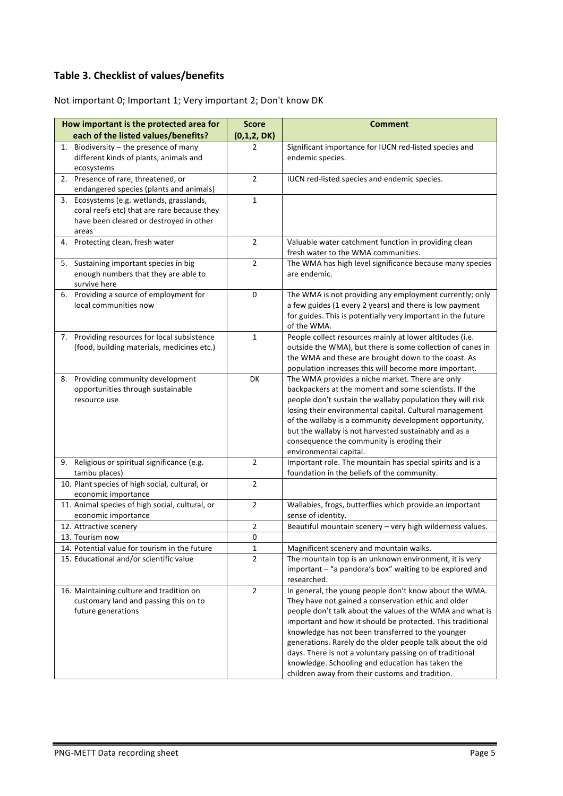#### **Table 3. Checklist of values/benefits**

Not important 0; Important 1; Very important 2; Don't know DK

| How important is the protected area for                     | <b>Score</b>   | <b>Comment</b>                                                                                                        |
|-------------------------------------------------------------|----------------|-----------------------------------------------------------------------------------------------------------------------|
| each of the listed values/benefits?                         | (0,1,2, DK)    |                                                                                                                       |
| Biodiversity - the presence of many<br>1.                   | 2              | Significant importance for IUCN red-listed species and                                                                |
| different kinds of plants, animals and                      |                | endemic species.                                                                                                      |
| ecosystems                                                  |                |                                                                                                                       |
| 2. Presence of rare, threatened, or                         | $\overline{2}$ | IUCN red-listed species and endemic species.                                                                          |
| endangered species (plants and animals)                     |                |                                                                                                                       |
| 3. Ecosystems (e.g. wetlands, grasslands,                   | $\mathbf{1}$   |                                                                                                                       |
| coral reefs etc) that are rare because they                 |                |                                                                                                                       |
| have been cleared or destroyed in other                     |                |                                                                                                                       |
| areas<br>Protecting clean, fresh water<br>4.                | $\overline{2}$ | Valuable water catchment function in providing clean                                                                  |
|                                                             |                | fresh water to the WMA communities.                                                                                   |
| 5. Sustaining important species in big                      | $\overline{2}$ | The WMA has high level significance because many species                                                              |
| enough numbers that they are able to                        |                | are endemic.                                                                                                          |
| survive here                                                |                |                                                                                                                       |
| 6. Providing a source of employment for                     | 0              | The WMA is not providing any employment currently; only                                                               |
| local communities now                                       |                | a few guides (1 every 2 years) and there is low payment                                                               |
|                                                             |                | for guides. This is potentially very important in the future                                                          |
|                                                             |                | of the WMA.                                                                                                           |
| 7. Providing resources for local subsistence                | $\mathbf{1}$   | People collect resources mainly at lower altitudes (i.e.                                                              |
| (food, building materials, medicines etc.)                  |                | outside the WMA), but there is some collection of canes in                                                            |
|                                                             |                | the WMA and these are brought down to the coast. As                                                                   |
|                                                             |                | population increases this will become more important.                                                                 |
| Providing community development<br>8.                       | DK             | The WMA provides a niche market. There are only                                                                       |
| opportunities through sustainable                           |                | backpackers at the moment and some scientists. If the                                                                 |
| resource use                                                |                | people don't sustain the wallaby population they will risk<br>losing their environmental capital. Cultural management |
|                                                             |                | of the wallaby is a community development opportunity,                                                                |
|                                                             |                | but the wallaby is not harvested sustainably and as a                                                                 |
|                                                             |                | consequence the community is eroding their                                                                            |
|                                                             |                | environmental capital.                                                                                                |
| 9. Religious or spiritual significance (e.g.                | $\overline{2}$ | Important role. The mountain has special spirits and is a                                                             |
| tambu places)                                               |                | foundation in the beliefs of the community.                                                                           |
| 10. Plant species of high social, cultural, or              | $\overline{2}$ |                                                                                                                       |
| economic importance                                         |                |                                                                                                                       |
| 11. Animal species of high social, cultural, or             | $\overline{2}$ | Wallabies, frogs, butterflies which provide an important                                                              |
| economic importance                                         |                | sense of identity.                                                                                                    |
| 12. Attractive scenery                                      | 2              | Beautiful mountain scenery - very high wilderness values.                                                             |
| 13. Tourism now                                             | 0              |                                                                                                                       |
| 14. Potential value for tourism in the future               | $\mathbf 1$    | Magnificent scenery and mountain walks.                                                                               |
| 15. Educational and/or scientific value                     | $\overline{2}$ | The mountain top is an unknown environment, it is very                                                                |
|                                                             |                | important - "a pandora's box" waiting to be explored and                                                              |
|                                                             |                | researched.                                                                                                           |
| 16. Maintaining culture and tradition on                    | $\overline{2}$ | In general, the young people don't know about the WMA.                                                                |
| customary land and passing this on to<br>future generations |                | They have not gained a conservation ethic and older<br>people don't talk about the values of the WMA and what is      |
|                                                             |                | important and how it should be protected. This traditional                                                            |
|                                                             |                | knowledge has not been transferred to the younger                                                                     |
|                                                             |                | generations. Rarely do the older people talk about the old                                                            |
|                                                             |                | days. There is not a voluntary passing on of traditional                                                              |
|                                                             |                | knowledge. Schooling and education has taken the                                                                      |
|                                                             |                | children away from their customs and tradition.                                                                       |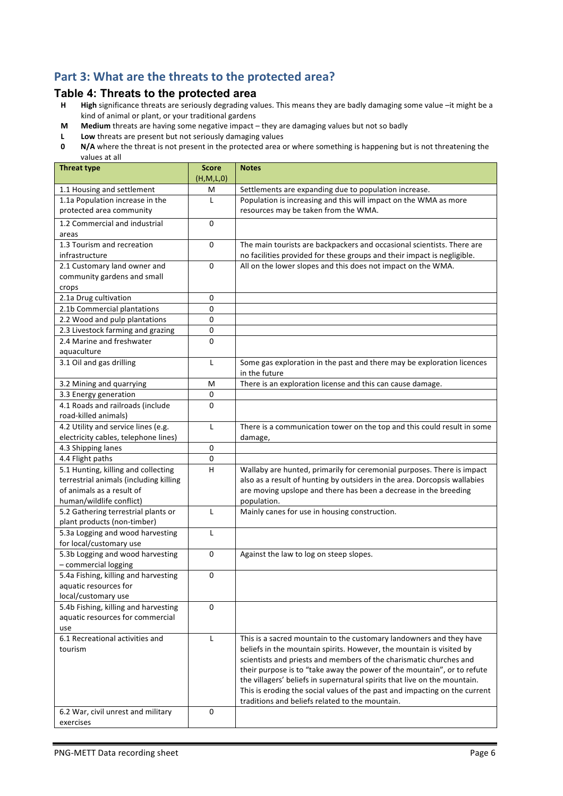### Part 3: What are the threats to the protected area?

# **Table 4: Threats to the protected area**<br>**H** High significance threats are seriously degrading val

- High significance threats are seriously degrading values. This means they are badly damaging some value -it might be a kind of animal or plant, or your traditional gardens
- **M** Medium threats are having some negative impact they are damaging values but not so badly
- **L** Low threats are present but not seriously damaging values<br>**0** N/A where the threat is not present in the protected area of
- **N/A** where the threat is not present in the protected area or where something is happening but is not threatening the values at all

| 1.1 Housing and settlement<br>Settlements are expanding due to population increase.<br>M<br>Population is increasing and this will impact on the WMA as more<br>1.1a Population increase in the<br>L<br>resources may be taken from the WMA.<br>protected area community<br>1.2 Commercial and industrial<br>0<br>areas<br>1.3 Tourism and recreation<br>0<br>The main tourists are backpackers and occasional scientists. There are<br>no facilities provided for these groups and their impact is negligible.<br>infrastructure<br>All on the lower slopes and this does not impact on the WMA.<br>2.1 Customary land owner and<br>0<br>community gardens and small<br>crops<br>2.1a Drug cultivation<br>0<br>2.1b Commercial plantations<br>0<br>2.2 Wood and pulp plantations<br>0<br>2.3 Livestock farming and grazing<br>0<br>2.4 Marine and freshwater<br>0<br>aquaculture<br>3.1 Oil and gas drilling<br>L<br>Some gas exploration in the past and there may be exploration licences<br>in the future<br>There is an exploration license and this can cause damage.<br>3.2 Mining and quarrying<br>M<br>3.3 Energy generation<br>$\pmb{0}$<br>4.1 Roads and railroads (include<br>0<br>road-killed animals)<br>4.2 Utility and service lines (e.g.<br>There is a communication tower on the top and this could result in some<br>L<br>electricity cables, telephone lines)<br>damage,<br>4.3 Shipping lanes<br>0<br>4.4 Flight paths<br>0<br>5.1 Hunting, killing and collecting<br>Wallaby are hunted, primarily for ceremonial purposes. There is impact<br>H<br>terrestrial animals (including killing<br>also as a result of hunting by outsiders in the area. Dorcopsis wallabies<br>of animals as a result of<br>are moving upslope and there has been a decrease in the breeding<br>human/wildlife conflict)<br>population.<br>Mainly canes for use in housing construction.<br>5.2 Gathering terrestrial plants or<br>L<br>plant products (non-timber)<br>5.3a Logging and wood harvesting<br>L<br>for local/customary use<br>5.3b Logging and wood harvesting<br>0<br>Against the law to log on steep slopes.<br>- commercial logging<br>5.4a Fishing, killing and harvesting<br>0<br>aquatic resources for<br>local/customary use<br>5.4b Fishing, killing and harvesting<br>$\mathbf 0$<br>aquatic resources for commercial<br>use<br>6.1 Recreational activities and<br>This is a sacred mountain to the customary landowners and they have<br>L<br>beliefs in the mountain spirits. However, the mountain is visited by<br>tourism<br>scientists and priests and members of the charismatic churches and<br>their purpose is to "take away the power of the mountain", or to refute<br>the villagers' beliefs in supernatural spirits that live on the mountain.<br>This is eroding the social values of the past and impacting on the current<br>traditions and beliefs related to the mountain.<br>0<br>6.2 War, civil unrest and military | <b>Threat type</b> | <b>Score</b><br>(H, M, L, 0) | <b>Notes</b> |
|-------------------------------------------------------------------------------------------------------------------------------------------------------------------------------------------------------------------------------------------------------------------------------------------------------------------------------------------------------------------------------------------------------------------------------------------------------------------------------------------------------------------------------------------------------------------------------------------------------------------------------------------------------------------------------------------------------------------------------------------------------------------------------------------------------------------------------------------------------------------------------------------------------------------------------------------------------------------------------------------------------------------------------------------------------------------------------------------------------------------------------------------------------------------------------------------------------------------------------------------------------------------------------------------------------------------------------------------------------------------------------------------------------------------------------------------------------------------------------------------------------------------------------------------------------------------------------------------------------------------------------------------------------------------------------------------------------------------------------------------------------------------------------------------------------------------------------------------------------------------------------------------------------------------------------------------------------------------------------------------------------------------------------------------------------------------------------------------------------------------------------------------------------------------------------------------------------------------------------------------------------------------------------------------------------------------------------------------------------------------------------------------------------------------------------------------------------------------------------------------------------------------------------------------------------------------------------------------------------------------------------------------------------------------------------------------------------------------------------------------------------------------------------------------------------------------------------------------------------------------------------------------------------------------------------------------------------------------|--------------------|------------------------------|--------------|
|                                                                                                                                                                                                                                                                                                                                                                                                                                                                                                                                                                                                                                                                                                                                                                                                                                                                                                                                                                                                                                                                                                                                                                                                                                                                                                                                                                                                                                                                                                                                                                                                                                                                                                                                                                                                                                                                                                                                                                                                                                                                                                                                                                                                                                                                                                                                                                                                                                                                                                                                                                                                                                                                                                                                                                                                                                                                                                                                                                   |                    |                              |              |
|                                                                                                                                                                                                                                                                                                                                                                                                                                                                                                                                                                                                                                                                                                                                                                                                                                                                                                                                                                                                                                                                                                                                                                                                                                                                                                                                                                                                                                                                                                                                                                                                                                                                                                                                                                                                                                                                                                                                                                                                                                                                                                                                                                                                                                                                                                                                                                                                                                                                                                                                                                                                                                                                                                                                                                                                                                                                                                                                                                   |                    |                              |              |
|                                                                                                                                                                                                                                                                                                                                                                                                                                                                                                                                                                                                                                                                                                                                                                                                                                                                                                                                                                                                                                                                                                                                                                                                                                                                                                                                                                                                                                                                                                                                                                                                                                                                                                                                                                                                                                                                                                                                                                                                                                                                                                                                                                                                                                                                                                                                                                                                                                                                                                                                                                                                                                                                                                                                                                                                                                                                                                                                                                   |                    |                              |              |
|                                                                                                                                                                                                                                                                                                                                                                                                                                                                                                                                                                                                                                                                                                                                                                                                                                                                                                                                                                                                                                                                                                                                                                                                                                                                                                                                                                                                                                                                                                                                                                                                                                                                                                                                                                                                                                                                                                                                                                                                                                                                                                                                                                                                                                                                                                                                                                                                                                                                                                                                                                                                                                                                                                                                                                                                                                                                                                                                                                   |                    |                              |              |
|                                                                                                                                                                                                                                                                                                                                                                                                                                                                                                                                                                                                                                                                                                                                                                                                                                                                                                                                                                                                                                                                                                                                                                                                                                                                                                                                                                                                                                                                                                                                                                                                                                                                                                                                                                                                                                                                                                                                                                                                                                                                                                                                                                                                                                                                                                                                                                                                                                                                                                                                                                                                                                                                                                                                                                                                                                                                                                                                                                   |                    |                              |              |
|                                                                                                                                                                                                                                                                                                                                                                                                                                                                                                                                                                                                                                                                                                                                                                                                                                                                                                                                                                                                                                                                                                                                                                                                                                                                                                                                                                                                                                                                                                                                                                                                                                                                                                                                                                                                                                                                                                                                                                                                                                                                                                                                                                                                                                                                                                                                                                                                                                                                                                                                                                                                                                                                                                                                                                                                                                                                                                                                                                   |                    |                              |              |
|                                                                                                                                                                                                                                                                                                                                                                                                                                                                                                                                                                                                                                                                                                                                                                                                                                                                                                                                                                                                                                                                                                                                                                                                                                                                                                                                                                                                                                                                                                                                                                                                                                                                                                                                                                                                                                                                                                                                                                                                                                                                                                                                                                                                                                                                                                                                                                                                                                                                                                                                                                                                                                                                                                                                                                                                                                                                                                                                                                   |                    |                              |              |
|                                                                                                                                                                                                                                                                                                                                                                                                                                                                                                                                                                                                                                                                                                                                                                                                                                                                                                                                                                                                                                                                                                                                                                                                                                                                                                                                                                                                                                                                                                                                                                                                                                                                                                                                                                                                                                                                                                                                                                                                                                                                                                                                                                                                                                                                                                                                                                                                                                                                                                                                                                                                                                                                                                                                                                                                                                                                                                                                                                   |                    |                              |              |
|                                                                                                                                                                                                                                                                                                                                                                                                                                                                                                                                                                                                                                                                                                                                                                                                                                                                                                                                                                                                                                                                                                                                                                                                                                                                                                                                                                                                                                                                                                                                                                                                                                                                                                                                                                                                                                                                                                                                                                                                                                                                                                                                                                                                                                                                                                                                                                                                                                                                                                                                                                                                                                                                                                                                                                                                                                                                                                                                                                   |                    |                              |              |
|                                                                                                                                                                                                                                                                                                                                                                                                                                                                                                                                                                                                                                                                                                                                                                                                                                                                                                                                                                                                                                                                                                                                                                                                                                                                                                                                                                                                                                                                                                                                                                                                                                                                                                                                                                                                                                                                                                                                                                                                                                                                                                                                                                                                                                                                                                                                                                                                                                                                                                                                                                                                                                                                                                                                                                                                                                                                                                                                                                   |                    |                              |              |
|                                                                                                                                                                                                                                                                                                                                                                                                                                                                                                                                                                                                                                                                                                                                                                                                                                                                                                                                                                                                                                                                                                                                                                                                                                                                                                                                                                                                                                                                                                                                                                                                                                                                                                                                                                                                                                                                                                                                                                                                                                                                                                                                                                                                                                                                                                                                                                                                                                                                                                                                                                                                                                                                                                                                                                                                                                                                                                                                                                   |                    |                              |              |
|                                                                                                                                                                                                                                                                                                                                                                                                                                                                                                                                                                                                                                                                                                                                                                                                                                                                                                                                                                                                                                                                                                                                                                                                                                                                                                                                                                                                                                                                                                                                                                                                                                                                                                                                                                                                                                                                                                                                                                                                                                                                                                                                                                                                                                                                                                                                                                                                                                                                                                                                                                                                                                                                                                                                                                                                                                                                                                                                                                   |                    |                              |              |
|                                                                                                                                                                                                                                                                                                                                                                                                                                                                                                                                                                                                                                                                                                                                                                                                                                                                                                                                                                                                                                                                                                                                                                                                                                                                                                                                                                                                                                                                                                                                                                                                                                                                                                                                                                                                                                                                                                                                                                                                                                                                                                                                                                                                                                                                                                                                                                                                                                                                                                                                                                                                                                                                                                                                                                                                                                                                                                                                                                   |                    |                              |              |
|                                                                                                                                                                                                                                                                                                                                                                                                                                                                                                                                                                                                                                                                                                                                                                                                                                                                                                                                                                                                                                                                                                                                                                                                                                                                                                                                                                                                                                                                                                                                                                                                                                                                                                                                                                                                                                                                                                                                                                                                                                                                                                                                                                                                                                                                                                                                                                                                                                                                                                                                                                                                                                                                                                                                                                                                                                                                                                                                                                   |                    |                              |              |
|                                                                                                                                                                                                                                                                                                                                                                                                                                                                                                                                                                                                                                                                                                                                                                                                                                                                                                                                                                                                                                                                                                                                                                                                                                                                                                                                                                                                                                                                                                                                                                                                                                                                                                                                                                                                                                                                                                                                                                                                                                                                                                                                                                                                                                                                                                                                                                                                                                                                                                                                                                                                                                                                                                                                                                                                                                                                                                                                                                   |                    |                              |              |
|                                                                                                                                                                                                                                                                                                                                                                                                                                                                                                                                                                                                                                                                                                                                                                                                                                                                                                                                                                                                                                                                                                                                                                                                                                                                                                                                                                                                                                                                                                                                                                                                                                                                                                                                                                                                                                                                                                                                                                                                                                                                                                                                                                                                                                                                                                                                                                                                                                                                                                                                                                                                                                                                                                                                                                                                                                                                                                                                                                   |                    |                              |              |
|                                                                                                                                                                                                                                                                                                                                                                                                                                                                                                                                                                                                                                                                                                                                                                                                                                                                                                                                                                                                                                                                                                                                                                                                                                                                                                                                                                                                                                                                                                                                                                                                                                                                                                                                                                                                                                                                                                                                                                                                                                                                                                                                                                                                                                                                                                                                                                                                                                                                                                                                                                                                                                                                                                                                                                                                                                                                                                                                                                   |                    |                              |              |
|                                                                                                                                                                                                                                                                                                                                                                                                                                                                                                                                                                                                                                                                                                                                                                                                                                                                                                                                                                                                                                                                                                                                                                                                                                                                                                                                                                                                                                                                                                                                                                                                                                                                                                                                                                                                                                                                                                                                                                                                                                                                                                                                                                                                                                                                                                                                                                                                                                                                                                                                                                                                                                                                                                                                                                                                                                                                                                                                                                   |                    |                              |              |
|                                                                                                                                                                                                                                                                                                                                                                                                                                                                                                                                                                                                                                                                                                                                                                                                                                                                                                                                                                                                                                                                                                                                                                                                                                                                                                                                                                                                                                                                                                                                                                                                                                                                                                                                                                                                                                                                                                                                                                                                                                                                                                                                                                                                                                                                                                                                                                                                                                                                                                                                                                                                                                                                                                                                                                                                                                                                                                                                                                   |                    |                              |              |
|                                                                                                                                                                                                                                                                                                                                                                                                                                                                                                                                                                                                                                                                                                                                                                                                                                                                                                                                                                                                                                                                                                                                                                                                                                                                                                                                                                                                                                                                                                                                                                                                                                                                                                                                                                                                                                                                                                                                                                                                                                                                                                                                                                                                                                                                                                                                                                                                                                                                                                                                                                                                                                                                                                                                                                                                                                                                                                                                                                   |                    |                              |              |
|                                                                                                                                                                                                                                                                                                                                                                                                                                                                                                                                                                                                                                                                                                                                                                                                                                                                                                                                                                                                                                                                                                                                                                                                                                                                                                                                                                                                                                                                                                                                                                                                                                                                                                                                                                                                                                                                                                                                                                                                                                                                                                                                                                                                                                                                                                                                                                                                                                                                                                                                                                                                                                                                                                                                                                                                                                                                                                                                                                   |                    |                              |              |
|                                                                                                                                                                                                                                                                                                                                                                                                                                                                                                                                                                                                                                                                                                                                                                                                                                                                                                                                                                                                                                                                                                                                                                                                                                                                                                                                                                                                                                                                                                                                                                                                                                                                                                                                                                                                                                                                                                                                                                                                                                                                                                                                                                                                                                                                                                                                                                                                                                                                                                                                                                                                                                                                                                                                                                                                                                                                                                                                                                   |                    |                              |              |
|                                                                                                                                                                                                                                                                                                                                                                                                                                                                                                                                                                                                                                                                                                                                                                                                                                                                                                                                                                                                                                                                                                                                                                                                                                                                                                                                                                                                                                                                                                                                                                                                                                                                                                                                                                                                                                                                                                                                                                                                                                                                                                                                                                                                                                                                                                                                                                                                                                                                                                                                                                                                                                                                                                                                                                                                                                                                                                                                                                   |                    |                              |              |
|                                                                                                                                                                                                                                                                                                                                                                                                                                                                                                                                                                                                                                                                                                                                                                                                                                                                                                                                                                                                                                                                                                                                                                                                                                                                                                                                                                                                                                                                                                                                                                                                                                                                                                                                                                                                                                                                                                                                                                                                                                                                                                                                                                                                                                                                                                                                                                                                                                                                                                                                                                                                                                                                                                                                                                                                                                                                                                                                                                   |                    |                              |              |
|                                                                                                                                                                                                                                                                                                                                                                                                                                                                                                                                                                                                                                                                                                                                                                                                                                                                                                                                                                                                                                                                                                                                                                                                                                                                                                                                                                                                                                                                                                                                                                                                                                                                                                                                                                                                                                                                                                                                                                                                                                                                                                                                                                                                                                                                                                                                                                                                                                                                                                                                                                                                                                                                                                                                                                                                                                                                                                                                                                   |                    |                              |              |
|                                                                                                                                                                                                                                                                                                                                                                                                                                                                                                                                                                                                                                                                                                                                                                                                                                                                                                                                                                                                                                                                                                                                                                                                                                                                                                                                                                                                                                                                                                                                                                                                                                                                                                                                                                                                                                                                                                                                                                                                                                                                                                                                                                                                                                                                                                                                                                                                                                                                                                                                                                                                                                                                                                                                                                                                                                                                                                                                                                   |                    |                              |              |
|                                                                                                                                                                                                                                                                                                                                                                                                                                                                                                                                                                                                                                                                                                                                                                                                                                                                                                                                                                                                                                                                                                                                                                                                                                                                                                                                                                                                                                                                                                                                                                                                                                                                                                                                                                                                                                                                                                                                                                                                                                                                                                                                                                                                                                                                                                                                                                                                                                                                                                                                                                                                                                                                                                                                                                                                                                                                                                                                                                   |                    |                              |              |
|                                                                                                                                                                                                                                                                                                                                                                                                                                                                                                                                                                                                                                                                                                                                                                                                                                                                                                                                                                                                                                                                                                                                                                                                                                                                                                                                                                                                                                                                                                                                                                                                                                                                                                                                                                                                                                                                                                                                                                                                                                                                                                                                                                                                                                                                                                                                                                                                                                                                                                                                                                                                                                                                                                                                                                                                                                                                                                                                                                   |                    |                              |              |
|                                                                                                                                                                                                                                                                                                                                                                                                                                                                                                                                                                                                                                                                                                                                                                                                                                                                                                                                                                                                                                                                                                                                                                                                                                                                                                                                                                                                                                                                                                                                                                                                                                                                                                                                                                                                                                                                                                                                                                                                                                                                                                                                                                                                                                                                                                                                                                                                                                                                                                                                                                                                                                                                                                                                                                                                                                                                                                                                                                   |                    |                              |              |
|                                                                                                                                                                                                                                                                                                                                                                                                                                                                                                                                                                                                                                                                                                                                                                                                                                                                                                                                                                                                                                                                                                                                                                                                                                                                                                                                                                                                                                                                                                                                                                                                                                                                                                                                                                                                                                                                                                                                                                                                                                                                                                                                                                                                                                                                                                                                                                                                                                                                                                                                                                                                                                                                                                                                                                                                                                                                                                                                                                   |                    |                              |              |
|                                                                                                                                                                                                                                                                                                                                                                                                                                                                                                                                                                                                                                                                                                                                                                                                                                                                                                                                                                                                                                                                                                                                                                                                                                                                                                                                                                                                                                                                                                                                                                                                                                                                                                                                                                                                                                                                                                                                                                                                                                                                                                                                                                                                                                                                                                                                                                                                                                                                                                                                                                                                                                                                                                                                                                                                                                                                                                                                                                   |                    |                              |              |
|                                                                                                                                                                                                                                                                                                                                                                                                                                                                                                                                                                                                                                                                                                                                                                                                                                                                                                                                                                                                                                                                                                                                                                                                                                                                                                                                                                                                                                                                                                                                                                                                                                                                                                                                                                                                                                                                                                                                                                                                                                                                                                                                                                                                                                                                                                                                                                                                                                                                                                                                                                                                                                                                                                                                                                                                                                                                                                                                                                   |                    |                              |              |
|                                                                                                                                                                                                                                                                                                                                                                                                                                                                                                                                                                                                                                                                                                                                                                                                                                                                                                                                                                                                                                                                                                                                                                                                                                                                                                                                                                                                                                                                                                                                                                                                                                                                                                                                                                                                                                                                                                                                                                                                                                                                                                                                                                                                                                                                                                                                                                                                                                                                                                                                                                                                                                                                                                                                                                                                                                                                                                                                                                   |                    |                              |              |
|                                                                                                                                                                                                                                                                                                                                                                                                                                                                                                                                                                                                                                                                                                                                                                                                                                                                                                                                                                                                                                                                                                                                                                                                                                                                                                                                                                                                                                                                                                                                                                                                                                                                                                                                                                                                                                                                                                                                                                                                                                                                                                                                                                                                                                                                                                                                                                                                                                                                                                                                                                                                                                                                                                                                                                                                                                                                                                                                                                   |                    |                              |              |
|                                                                                                                                                                                                                                                                                                                                                                                                                                                                                                                                                                                                                                                                                                                                                                                                                                                                                                                                                                                                                                                                                                                                                                                                                                                                                                                                                                                                                                                                                                                                                                                                                                                                                                                                                                                                                                                                                                                                                                                                                                                                                                                                                                                                                                                                                                                                                                                                                                                                                                                                                                                                                                                                                                                                                                                                                                                                                                                                                                   |                    |                              |              |
|                                                                                                                                                                                                                                                                                                                                                                                                                                                                                                                                                                                                                                                                                                                                                                                                                                                                                                                                                                                                                                                                                                                                                                                                                                                                                                                                                                                                                                                                                                                                                                                                                                                                                                                                                                                                                                                                                                                                                                                                                                                                                                                                                                                                                                                                                                                                                                                                                                                                                                                                                                                                                                                                                                                                                                                                                                                                                                                                                                   |                    |                              |              |
|                                                                                                                                                                                                                                                                                                                                                                                                                                                                                                                                                                                                                                                                                                                                                                                                                                                                                                                                                                                                                                                                                                                                                                                                                                                                                                                                                                                                                                                                                                                                                                                                                                                                                                                                                                                                                                                                                                                                                                                                                                                                                                                                                                                                                                                                                                                                                                                                                                                                                                                                                                                                                                                                                                                                                                                                                                                                                                                                                                   |                    |                              |              |
|                                                                                                                                                                                                                                                                                                                                                                                                                                                                                                                                                                                                                                                                                                                                                                                                                                                                                                                                                                                                                                                                                                                                                                                                                                                                                                                                                                                                                                                                                                                                                                                                                                                                                                                                                                                                                                                                                                                                                                                                                                                                                                                                                                                                                                                                                                                                                                                                                                                                                                                                                                                                                                                                                                                                                                                                                                                                                                                                                                   |                    |                              |              |
|                                                                                                                                                                                                                                                                                                                                                                                                                                                                                                                                                                                                                                                                                                                                                                                                                                                                                                                                                                                                                                                                                                                                                                                                                                                                                                                                                                                                                                                                                                                                                                                                                                                                                                                                                                                                                                                                                                                                                                                                                                                                                                                                                                                                                                                                                                                                                                                                                                                                                                                                                                                                                                                                                                                                                                                                                                                                                                                                                                   |                    |                              |              |
|                                                                                                                                                                                                                                                                                                                                                                                                                                                                                                                                                                                                                                                                                                                                                                                                                                                                                                                                                                                                                                                                                                                                                                                                                                                                                                                                                                                                                                                                                                                                                                                                                                                                                                                                                                                                                                                                                                                                                                                                                                                                                                                                                                                                                                                                                                                                                                                                                                                                                                                                                                                                                                                                                                                                                                                                                                                                                                                                                                   |                    |                              |              |
|                                                                                                                                                                                                                                                                                                                                                                                                                                                                                                                                                                                                                                                                                                                                                                                                                                                                                                                                                                                                                                                                                                                                                                                                                                                                                                                                                                                                                                                                                                                                                                                                                                                                                                                                                                                                                                                                                                                                                                                                                                                                                                                                                                                                                                                                                                                                                                                                                                                                                                                                                                                                                                                                                                                                                                                                                                                                                                                                                                   |                    |                              |              |
|                                                                                                                                                                                                                                                                                                                                                                                                                                                                                                                                                                                                                                                                                                                                                                                                                                                                                                                                                                                                                                                                                                                                                                                                                                                                                                                                                                                                                                                                                                                                                                                                                                                                                                                                                                                                                                                                                                                                                                                                                                                                                                                                                                                                                                                                                                                                                                                                                                                                                                                                                                                                                                                                                                                                                                                                                                                                                                                                                                   |                    |                              |              |
|                                                                                                                                                                                                                                                                                                                                                                                                                                                                                                                                                                                                                                                                                                                                                                                                                                                                                                                                                                                                                                                                                                                                                                                                                                                                                                                                                                                                                                                                                                                                                                                                                                                                                                                                                                                                                                                                                                                                                                                                                                                                                                                                                                                                                                                                                                                                                                                                                                                                                                                                                                                                                                                                                                                                                                                                                                                                                                                                                                   |                    |                              |              |
|                                                                                                                                                                                                                                                                                                                                                                                                                                                                                                                                                                                                                                                                                                                                                                                                                                                                                                                                                                                                                                                                                                                                                                                                                                                                                                                                                                                                                                                                                                                                                                                                                                                                                                                                                                                                                                                                                                                                                                                                                                                                                                                                                                                                                                                                                                                                                                                                                                                                                                                                                                                                                                                                                                                                                                                                                                                                                                                                                                   |                    |                              |              |
|                                                                                                                                                                                                                                                                                                                                                                                                                                                                                                                                                                                                                                                                                                                                                                                                                                                                                                                                                                                                                                                                                                                                                                                                                                                                                                                                                                                                                                                                                                                                                                                                                                                                                                                                                                                                                                                                                                                                                                                                                                                                                                                                                                                                                                                                                                                                                                                                                                                                                                                                                                                                                                                                                                                                                                                                                                                                                                                                                                   |                    |                              |              |
|                                                                                                                                                                                                                                                                                                                                                                                                                                                                                                                                                                                                                                                                                                                                                                                                                                                                                                                                                                                                                                                                                                                                                                                                                                                                                                                                                                                                                                                                                                                                                                                                                                                                                                                                                                                                                                                                                                                                                                                                                                                                                                                                                                                                                                                                                                                                                                                                                                                                                                                                                                                                                                                                                                                                                                                                                                                                                                                                                                   |                    |                              |              |
|                                                                                                                                                                                                                                                                                                                                                                                                                                                                                                                                                                                                                                                                                                                                                                                                                                                                                                                                                                                                                                                                                                                                                                                                                                                                                                                                                                                                                                                                                                                                                                                                                                                                                                                                                                                                                                                                                                                                                                                                                                                                                                                                                                                                                                                                                                                                                                                                                                                                                                                                                                                                                                                                                                                                                                                                                                                                                                                                                                   |                    |                              |              |
|                                                                                                                                                                                                                                                                                                                                                                                                                                                                                                                                                                                                                                                                                                                                                                                                                                                                                                                                                                                                                                                                                                                                                                                                                                                                                                                                                                                                                                                                                                                                                                                                                                                                                                                                                                                                                                                                                                                                                                                                                                                                                                                                                                                                                                                                                                                                                                                                                                                                                                                                                                                                                                                                                                                                                                                                                                                                                                                                                                   | exercises          |                              |              |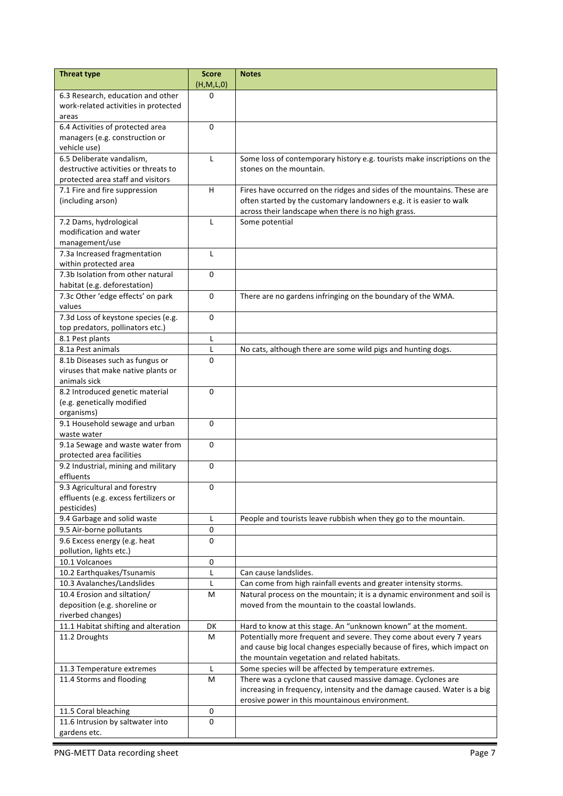| <b>Threat type</b>                                      | <b>Score</b><br>(H,M,L,0) | <b>Notes</b>                                                                                                                                    |
|---------------------------------------------------------|---------------------------|-------------------------------------------------------------------------------------------------------------------------------------------------|
| 6.3 Research, education and other                       | 0                         |                                                                                                                                                 |
| work-related activities in protected                    |                           |                                                                                                                                                 |
| areas                                                   |                           |                                                                                                                                                 |
| 6.4 Activities of protected area                        | 0                         |                                                                                                                                                 |
| managers (e.g. construction or                          |                           |                                                                                                                                                 |
| vehicle use)                                            |                           |                                                                                                                                                 |
| 6.5 Deliberate vandalism,                               | L                         | Some loss of contemporary history e.g. tourists make inscriptions on the                                                                        |
| destructive activities or threats to                    |                           | stones on the mountain.                                                                                                                         |
| protected area staff and visitors                       |                           |                                                                                                                                                 |
| 7.1 Fire and fire suppression                           | H                         | Fires have occurred on the ridges and sides of the mountains. These are                                                                         |
| (including arson)                                       |                           | often started by the customary landowners e.g. it is easier to walk                                                                             |
|                                                         |                           | across their landscape when there is no high grass.                                                                                             |
| 7.2 Dams, hydrological                                  | L                         | Some potential                                                                                                                                  |
| modification and water                                  |                           |                                                                                                                                                 |
| management/use                                          |                           |                                                                                                                                                 |
| 7.3a Increased fragmentation                            | L                         |                                                                                                                                                 |
| within protected area                                   |                           |                                                                                                                                                 |
| 7.3b Isolation from other natural                       | $\mathbf 0$               |                                                                                                                                                 |
| habitat (e.g. deforestation)                            |                           |                                                                                                                                                 |
| 7.3c Other 'edge effects' on park                       | 0                         | There are no gardens infringing on the boundary of the WMA.                                                                                     |
| values                                                  |                           |                                                                                                                                                 |
| 7.3d Loss of keystone species (e.g.                     | $\mathbf 0$               |                                                                                                                                                 |
| top predators, pollinators etc.)                        |                           |                                                                                                                                                 |
| 8.1 Pest plants                                         |                           |                                                                                                                                                 |
|                                                         | L                         |                                                                                                                                                 |
| 8.1a Pest animals                                       | L                         | No cats, although there are some wild pigs and hunting dogs.                                                                                    |
| 8.1b Diseases such as fungus or                         | $\Omega$                  |                                                                                                                                                 |
| viruses that make native plants or                      |                           |                                                                                                                                                 |
| animals sick                                            |                           |                                                                                                                                                 |
| 8.2 Introduced genetic material                         | $\Omega$                  |                                                                                                                                                 |
| (e.g. genetically modified                              |                           |                                                                                                                                                 |
| organisms)                                              | $\Omega$                  |                                                                                                                                                 |
| 9.1 Household sewage and urban                          |                           |                                                                                                                                                 |
| waste water<br>9.1a Sewage and waste water from         | 0                         |                                                                                                                                                 |
| protected area facilities                               |                           |                                                                                                                                                 |
|                                                         | 0                         |                                                                                                                                                 |
| 9.2 Industrial, mining and military<br>effluents        |                           |                                                                                                                                                 |
| 9.3 Agricultural and forestry                           | 0                         |                                                                                                                                                 |
| effluents (e.g. excess fertilizers or                   |                           |                                                                                                                                                 |
| pesticides)                                             |                           |                                                                                                                                                 |
| 9.4 Garbage and solid waste                             | Г                         | People and tourists leave rubbish when they go to the mountain.                                                                                 |
| 9.5 Air-borne pollutants                                | 0                         |                                                                                                                                                 |
| 9.6 Excess energy (e.g. heat                            | 0                         |                                                                                                                                                 |
|                                                         |                           |                                                                                                                                                 |
| pollution, lights etc.)<br>10.1 Volcanoes               | 0                         |                                                                                                                                                 |
|                                                         | L                         | Can cause landslides.                                                                                                                           |
| 10.2 Earthquakes/Tsunamis<br>10.3 Avalanches/Landslides | L                         |                                                                                                                                                 |
| 10.4 Erosion and siltation/                             | M                         | Can come from high rainfall events and greater intensity storms.                                                                                |
| deposition (e.g. shoreline or                           |                           | Natural process on the mountain; it is a dynamic environment and soil is<br>moved from the mountain to the coastal lowlands.                    |
|                                                         |                           |                                                                                                                                                 |
| riverbed changes)                                       |                           |                                                                                                                                                 |
| 11.1 Habitat shifting and alteration                    | DK                        | Hard to know at this stage. An "unknown known" at the moment.                                                                                   |
| 11.2 Droughts                                           | М                         | Potentially more frequent and severe. They come about every 7 years<br>and cause big local changes especially because of fires, which impact on |
|                                                         |                           |                                                                                                                                                 |
|                                                         | L                         | the mountain vegetation and related habitats.<br>Some species will be affected by temperature extremes.                                         |
| 11.3 Temperature extremes<br>11.4 Storms and flooding   | M                         | There was a cyclone that caused massive damage. Cyclones are                                                                                    |
|                                                         |                           | increasing in frequency, intensity and the damage caused. Water is a big                                                                        |
|                                                         |                           | erosive power in this mountainous environment.                                                                                                  |
| 11.5 Coral bleaching                                    | $\mathbf 0$               |                                                                                                                                                 |
| 11.6 Intrusion by saltwater into                        | 0                         |                                                                                                                                                 |
| gardens etc.                                            |                           |                                                                                                                                                 |
|                                                         |                           |                                                                                                                                                 |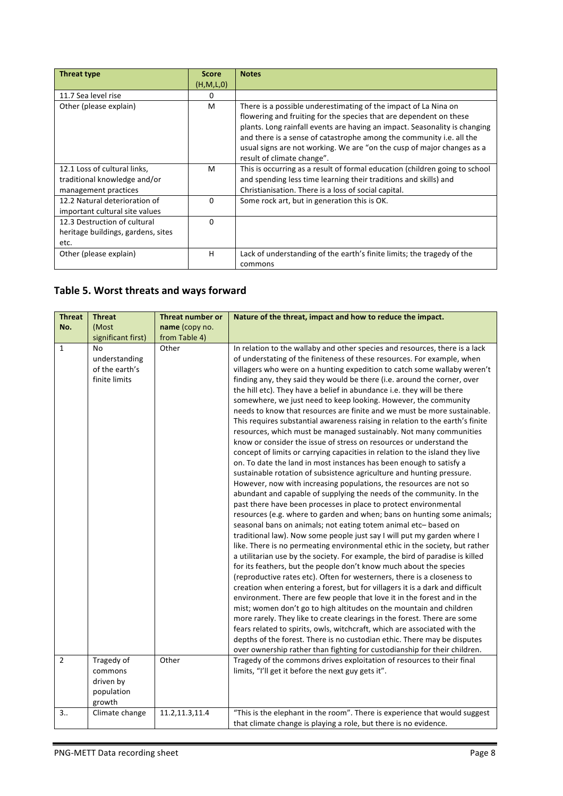| Threat type                                                                          | <b>Score</b> | <b>Notes</b>                                                                                                                                                                                                                                                                                                                                                                                        |
|--------------------------------------------------------------------------------------|--------------|-----------------------------------------------------------------------------------------------------------------------------------------------------------------------------------------------------------------------------------------------------------------------------------------------------------------------------------------------------------------------------------------------------|
|                                                                                      | (H, M, L, 0) |                                                                                                                                                                                                                                                                                                                                                                                                     |
| 11.7 Sea level rise                                                                  | 0            |                                                                                                                                                                                                                                                                                                                                                                                                     |
| Other (please explain)                                                               | M            | There is a possible underestimating of the impact of La Nina on<br>flowering and fruiting for the species that are dependent on these<br>plants. Long rainfall events are having an impact. Seasonality is changing<br>and there is a sense of catastrophe among the community i.e. all the<br>usual signs are not working. We are "on the cusp of major changes as a<br>result of climate change". |
| 12.1 Loss of cultural links,<br>traditional knowledge and/or<br>management practices | M            | This is occurring as a result of formal education (children going to school<br>and spending less time learning their traditions and skills) and<br>Christianisation. There is a loss of social capital.                                                                                                                                                                                             |
| 12.2 Natural deterioration of<br>important cultural site values                      | 0            | Some rock art, but in generation this is OK.                                                                                                                                                                                                                                                                                                                                                        |
| 12.3 Destruction of cultural<br>heritage buildings, gardens, sites<br>etc.           | $\Omega$     |                                                                                                                                                                                                                                                                                                                                                                                                     |
| Other (please explain)                                                               | H            | Lack of understanding of the earth's finite limits; the tragedy of the<br>commons                                                                                                                                                                                                                                                                                                                   |

## **Table 5. Worst threats and ways forward**

| <b>Threat</b>                  | <b>Threat</b>                                                        | <b>Threat number or</b> | Nature of the threat, impact and how to reduce the impact.                                                                                                                                                                                                                                                                                                                                                                                                                                                                                                                                                                                                                                                                                                                                                                                                                                                                                                                                                                                                                                                                                                                                                                                                                                                                                                                                                                                                                                                                                                                                                                                                                                                                                                                                                                                                                                                                                                                                                                                                                                                                                                                                                                                                                                                                                                                                       |  |
|--------------------------------|----------------------------------------------------------------------|-------------------------|--------------------------------------------------------------------------------------------------------------------------------------------------------------------------------------------------------------------------------------------------------------------------------------------------------------------------------------------------------------------------------------------------------------------------------------------------------------------------------------------------------------------------------------------------------------------------------------------------------------------------------------------------------------------------------------------------------------------------------------------------------------------------------------------------------------------------------------------------------------------------------------------------------------------------------------------------------------------------------------------------------------------------------------------------------------------------------------------------------------------------------------------------------------------------------------------------------------------------------------------------------------------------------------------------------------------------------------------------------------------------------------------------------------------------------------------------------------------------------------------------------------------------------------------------------------------------------------------------------------------------------------------------------------------------------------------------------------------------------------------------------------------------------------------------------------------------------------------------------------------------------------------------------------------------------------------------------------------------------------------------------------------------------------------------------------------------------------------------------------------------------------------------------------------------------------------------------------------------------------------------------------------------------------------------------------------------------------------------------------------------------------------------|--|
| No.                            | (Most                                                                | name (copy no.          |                                                                                                                                                                                                                                                                                                                                                                                                                                                                                                                                                                                                                                                                                                                                                                                                                                                                                                                                                                                                                                                                                                                                                                                                                                                                                                                                                                                                                                                                                                                                                                                                                                                                                                                                                                                                                                                                                                                                                                                                                                                                                                                                                                                                                                                                                                                                                                                                  |  |
|                                | significant first)                                                   | from Table 4)           |                                                                                                                                                                                                                                                                                                                                                                                                                                                                                                                                                                                                                                                                                                                                                                                                                                                                                                                                                                                                                                                                                                                                                                                                                                                                                                                                                                                                                                                                                                                                                                                                                                                                                                                                                                                                                                                                                                                                                                                                                                                                                                                                                                                                                                                                                                                                                                                                  |  |
| $\mathbf{1}$<br>$\overline{2}$ | No<br>understanding<br>of the earth's<br>finite limits<br>Tragedy of | Other<br>Other          | In relation to the wallaby and other species and resources, there is a lack<br>of understating of the finiteness of these resources. For example, when<br>villagers who were on a hunting expedition to catch some wallaby weren't<br>finding any, they said they would be there (i.e. around the corner, over<br>the hill etc). They have a belief in abundance i.e. they will be there<br>somewhere, we just need to keep looking. However, the community<br>needs to know that resources are finite and we must be more sustainable.<br>This requires substantial awareness raising in relation to the earth's finite<br>resources, which must be managed sustainably. Not many communities<br>know or consider the issue of stress on resources or understand the<br>concept of limits or carrying capacities in relation to the island they live<br>on. To date the land in most instances has been enough to satisfy a<br>sustainable rotation of subsistence agriculture and hunting pressure.<br>However, now with increasing populations, the resources are not so<br>abundant and capable of supplying the needs of the community. In the<br>past there have been processes in place to protect environmental<br>resources (e.g. where to garden and when; bans on hunting some animals;<br>seasonal bans on animals; not eating totem animal etc- based on<br>traditional law). Now some people just say I will put my garden where I<br>like. There is no permeating environmental ethic in the society, but rather<br>a utilitarian use by the society. For example, the bird of paradise is killed<br>for its feathers, but the people don't know much about the species<br>(reproductive rates etc). Often for westerners, there is a closeness to<br>creation when entering a forest, but for villagers it is a dark and difficult<br>environment. There are few people that love it in the forest and in the<br>mist; women don't go to high altitudes on the mountain and children<br>more rarely. They like to create clearings in the forest. There are some<br>fears related to spirits, owls, witchcraft, which are associated with the<br>depths of the forest. There is no custodian ethic. There may be disputes<br>over ownership rather than fighting for custodianship for their children.<br>Tragedy of the commons drives exploitation of resources to their final |  |
|                                | commons<br>driven by<br>population<br>growth                         |                         | limits, "I'll get it before the next guy gets it".                                                                                                                                                                                                                                                                                                                                                                                                                                                                                                                                                                                                                                                                                                                                                                                                                                                                                                                                                                                                                                                                                                                                                                                                                                                                                                                                                                                                                                                                                                                                                                                                                                                                                                                                                                                                                                                                                                                                                                                                                                                                                                                                                                                                                                                                                                                                               |  |
| 3.1                            | Climate change                                                       | 11.2,11.3,11.4          | "This is the elephant in the room". There is experience that would suggest<br>that climate change is playing a role, but there is no evidence.                                                                                                                                                                                                                                                                                                                                                                                                                                                                                                                                                                                                                                                                                                                                                                                                                                                                                                                                                                                                                                                                                                                                                                                                                                                                                                                                                                                                                                                                                                                                                                                                                                                                                                                                                                                                                                                                                                                                                                                                                                                                                                                                                                                                                                                   |  |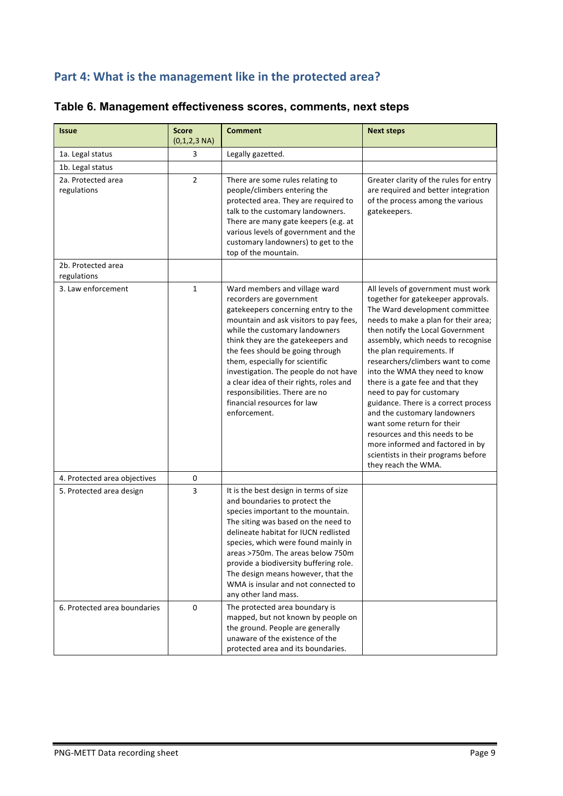### Part 4: What is the management like in the protected area?

| <b>Issue</b>                      | <b>Score</b><br>$(0,1,2,3 \text{ NA})$ | <b>Comment</b>                                                                                                                                                                                                                                                                                                                                                                                                                                                 | <b>Next steps</b>                                                                                                                                                                                                                                                                                                                                                                                                                                                                                                                                                                                                                            |
|-----------------------------------|----------------------------------------|----------------------------------------------------------------------------------------------------------------------------------------------------------------------------------------------------------------------------------------------------------------------------------------------------------------------------------------------------------------------------------------------------------------------------------------------------------------|----------------------------------------------------------------------------------------------------------------------------------------------------------------------------------------------------------------------------------------------------------------------------------------------------------------------------------------------------------------------------------------------------------------------------------------------------------------------------------------------------------------------------------------------------------------------------------------------------------------------------------------------|
| 1a. Legal status                  | 3                                      | Legally gazetted.                                                                                                                                                                                                                                                                                                                                                                                                                                              |                                                                                                                                                                                                                                                                                                                                                                                                                                                                                                                                                                                                                                              |
| 1b. Legal status                  |                                        |                                                                                                                                                                                                                                                                                                                                                                                                                                                                |                                                                                                                                                                                                                                                                                                                                                                                                                                                                                                                                                                                                                                              |
| 2a. Protected area<br>regulations | $\overline{2}$                         | There are some rules relating to<br>people/climbers entering the<br>protected area. They are required to<br>talk to the customary landowners.<br>There are many gate keepers (e.g. at<br>various levels of government and the<br>customary landowners) to get to the<br>top of the mountain.                                                                                                                                                                   | Greater clarity of the rules for entry<br>are required and better integration<br>of the process among the various<br>gatekeepers.                                                                                                                                                                                                                                                                                                                                                                                                                                                                                                            |
| 2b. Protected area<br>regulations |                                        |                                                                                                                                                                                                                                                                                                                                                                                                                                                                |                                                                                                                                                                                                                                                                                                                                                                                                                                                                                                                                                                                                                                              |
| 3. Law enforcement                | $\mathbf{1}$                           | Ward members and village ward<br>recorders are government<br>gatekeepers concerning entry to the<br>mountain and ask visitors to pay fees,<br>while the customary landowners<br>think they are the gatekeepers and<br>the fees should be going through<br>them, especially for scientific<br>investigation. The people do not have<br>a clear idea of their rights, roles and<br>responsibilities. There are no<br>financial resources for law<br>enforcement. | All levels of government must work<br>together for gatekeeper approvals.<br>The Ward development committee<br>needs to make a plan for their area;<br>then notify the Local Government<br>assembly, which needs to recognise<br>the plan requirements. If<br>researchers/climbers want to come<br>into the WMA they need to know<br>there is a gate fee and that they<br>need to pay for customary<br>guidance. There is a correct process<br>and the customary landowners<br>want some return for their<br>resources and this needs to be<br>more informed and factored in by<br>scientists in their programs before<br>they reach the WMA. |
| 4. Protected area objectives      | 0                                      |                                                                                                                                                                                                                                                                                                                                                                                                                                                                |                                                                                                                                                                                                                                                                                                                                                                                                                                                                                                                                                                                                                                              |
| 5. Protected area design          | $\overline{\mathbf{3}}$                | It is the best design in terms of size<br>and boundaries to protect the<br>species important to the mountain.<br>The siting was based on the need to<br>delineate habitat for IUCN redlisted<br>species, which were found mainly in<br>areas >750m. The areas below 750m<br>provide a biodiversity buffering role.<br>The design means however, that the<br>WMA is insular and not connected to<br>any other land mass.                                        |                                                                                                                                                                                                                                                                                                                                                                                                                                                                                                                                                                                                                                              |
| 6. Protected area boundaries      | 0                                      | The protected area boundary is<br>mapped, but not known by people on<br>the ground. People are generally<br>unaware of the existence of the<br>protected area and its boundaries.                                                                                                                                                                                                                                                                              |                                                                                                                                                                                                                                                                                                                                                                                                                                                                                                                                                                                                                                              |

### **Table 6. Management effectiveness scores, comments, next steps**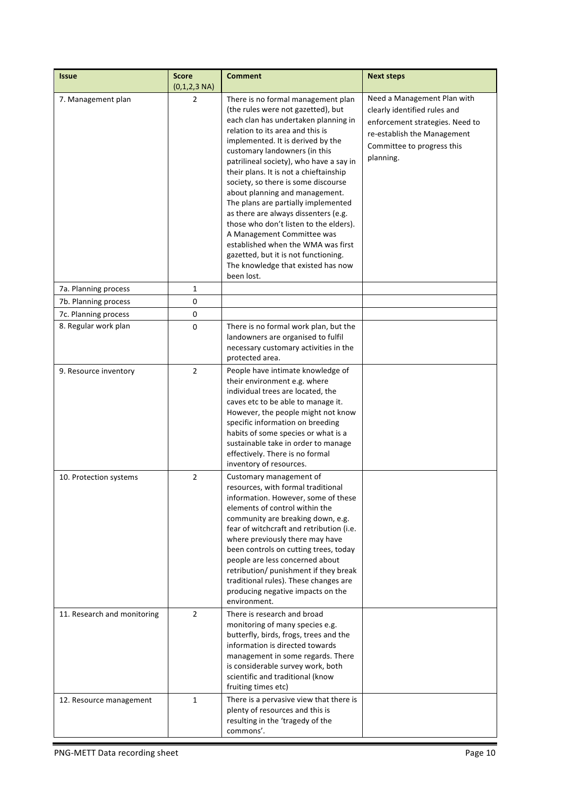| <b>Issue</b>                | <b>Score</b><br>$(0,1,2,3 \text{ NA})$ | <b>Comment</b>                                                                                                                                                                                                                                                                                                                                                                                                                                                                                                                                                                                                                                                                    | <b>Next steps</b>                                                                                                                                                        |
|-----------------------------|----------------------------------------|-----------------------------------------------------------------------------------------------------------------------------------------------------------------------------------------------------------------------------------------------------------------------------------------------------------------------------------------------------------------------------------------------------------------------------------------------------------------------------------------------------------------------------------------------------------------------------------------------------------------------------------------------------------------------------------|--------------------------------------------------------------------------------------------------------------------------------------------------------------------------|
| 7. Management plan          | $\overline{2}$                         | There is no formal management plan<br>(the rules were not gazetted), but<br>each clan has undertaken planning in<br>relation to its area and this is<br>implemented. It is derived by the<br>customary landowners (in this<br>patrilineal society), who have a say in<br>their plans. It is not a chieftainship<br>society, so there is some discourse<br>about planning and management.<br>The plans are partially implemented<br>as there are always dissenters (e.g.<br>those who don't listen to the elders).<br>A Management Committee was<br>established when the WMA was first<br>gazetted, but it is not functioning.<br>The knowledge that existed has now<br>been lost. | Need a Management Plan with<br>clearly identified rules and<br>enforcement strategies. Need to<br>re-establish the Management<br>Committee to progress this<br>planning. |
| 7a. Planning process        | $\mathbf{1}$                           |                                                                                                                                                                                                                                                                                                                                                                                                                                                                                                                                                                                                                                                                                   |                                                                                                                                                                          |
| 7b. Planning process        | 0                                      |                                                                                                                                                                                                                                                                                                                                                                                                                                                                                                                                                                                                                                                                                   |                                                                                                                                                                          |
| 7c. Planning process        | 0                                      |                                                                                                                                                                                                                                                                                                                                                                                                                                                                                                                                                                                                                                                                                   |                                                                                                                                                                          |
| 8. Regular work plan        | 0                                      | There is no formal work plan, but the<br>landowners are organised to fulfil<br>necessary customary activities in the<br>protected area.                                                                                                                                                                                                                                                                                                                                                                                                                                                                                                                                           |                                                                                                                                                                          |
| 9. Resource inventory       | $\overline{2}$                         | People have intimate knowledge of<br>their environment e.g. where<br>individual trees are located, the<br>caves etc to be able to manage it.<br>However, the people might not know<br>specific information on breeding<br>habits of some species or what is a<br>sustainable take in order to manage<br>effectively. There is no formal<br>inventory of resources.                                                                                                                                                                                                                                                                                                                |                                                                                                                                                                          |
| 10. Protection systems      | 2                                      | Customary management of<br>resources, with formal traditional<br>information. However, some of these<br>elements of control within the<br>community are breaking down, e.g.<br>fear of witchcraft and retribution (i.e.<br>where previously there may have<br>been controls on cutting trees, today<br>people are less concerned about<br>retribution/ punishment if they break<br>traditional rules). These changes are<br>producing negative impacts on the<br>environment.                                                                                                                                                                                                     |                                                                                                                                                                          |
| 11. Research and monitoring | $\overline{2}$                         | There is research and broad<br>monitoring of many species e.g.<br>butterfly, birds, frogs, trees and the<br>information is directed towards<br>management in some regards. There<br>is considerable survey work, both<br>scientific and traditional (know<br>fruiting times etc)                                                                                                                                                                                                                                                                                                                                                                                                  |                                                                                                                                                                          |
| 12. Resource management     | $\mathbf{1}$                           | There is a pervasive view that there is<br>plenty of resources and this is<br>resulting in the 'tragedy of the<br>commons'.                                                                                                                                                                                                                                                                                                                                                                                                                                                                                                                                                       |                                                                                                                                                                          |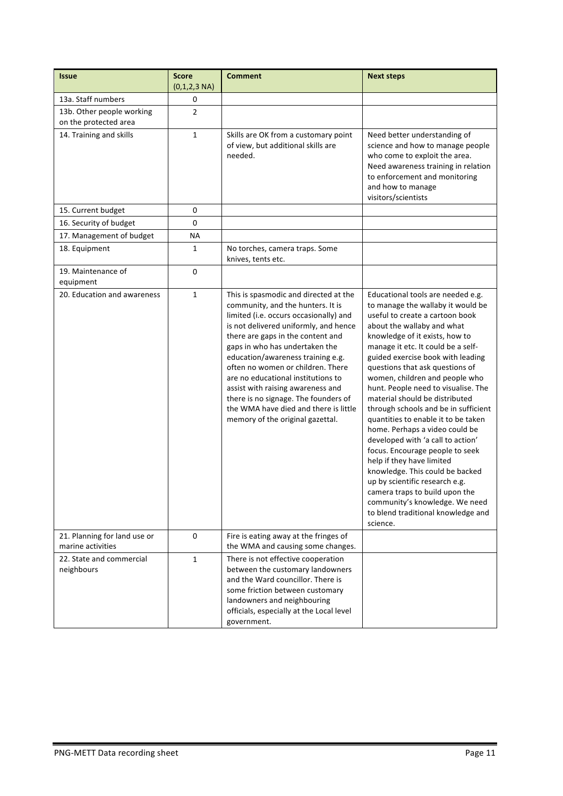| <b>Issue</b>                                       | <b>Score</b><br>$(0,1,2,3 \text{ NA})$ | <b>Comment</b>                                                                                                                                                                                                                                                                                                                                                                                                                                                                                                 | <b>Next steps</b>                                                                                                                                                                                                                                                                                                                                                                                                                                                                                                                                                                                                                                                                                                                                                                                                   |
|----------------------------------------------------|----------------------------------------|----------------------------------------------------------------------------------------------------------------------------------------------------------------------------------------------------------------------------------------------------------------------------------------------------------------------------------------------------------------------------------------------------------------------------------------------------------------------------------------------------------------|---------------------------------------------------------------------------------------------------------------------------------------------------------------------------------------------------------------------------------------------------------------------------------------------------------------------------------------------------------------------------------------------------------------------------------------------------------------------------------------------------------------------------------------------------------------------------------------------------------------------------------------------------------------------------------------------------------------------------------------------------------------------------------------------------------------------|
| 13a. Staff numbers                                 | 0                                      |                                                                                                                                                                                                                                                                                                                                                                                                                                                                                                                |                                                                                                                                                                                                                                                                                                                                                                                                                                                                                                                                                                                                                                                                                                                                                                                                                     |
| 13b. Other people working<br>on the protected area | $\overline{2}$                         |                                                                                                                                                                                                                                                                                                                                                                                                                                                                                                                |                                                                                                                                                                                                                                                                                                                                                                                                                                                                                                                                                                                                                                                                                                                                                                                                                     |
| 14. Training and skills                            | $\mathbf{1}$                           | Skills are OK from a customary point<br>of view, but additional skills are<br>needed.                                                                                                                                                                                                                                                                                                                                                                                                                          | Need better understanding of<br>science and how to manage people<br>who come to exploit the area.<br>Need awareness training in relation<br>to enforcement and monitoring<br>and how to manage<br>visitors/scientists                                                                                                                                                                                                                                                                                                                                                                                                                                                                                                                                                                                               |
| 15. Current budget                                 | 0                                      |                                                                                                                                                                                                                                                                                                                                                                                                                                                                                                                |                                                                                                                                                                                                                                                                                                                                                                                                                                                                                                                                                                                                                                                                                                                                                                                                                     |
| 16. Security of budget                             | 0                                      |                                                                                                                                                                                                                                                                                                                                                                                                                                                                                                                |                                                                                                                                                                                                                                                                                                                                                                                                                                                                                                                                                                                                                                                                                                                                                                                                                     |
| 17. Management of budget                           | ΝA                                     |                                                                                                                                                                                                                                                                                                                                                                                                                                                                                                                |                                                                                                                                                                                                                                                                                                                                                                                                                                                                                                                                                                                                                                                                                                                                                                                                                     |
| 18. Equipment                                      | 1                                      | No torches, camera traps. Some<br>knives, tents etc.                                                                                                                                                                                                                                                                                                                                                                                                                                                           |                                                                                                                                                                                                                                                                                                                                                                                                                                                                                                                                                                                                                                                                                                                                                                                                                     |
| 19. Maintenance of<br>equipment                    | 0                                      |                                                                                                                                                                                                                                                                                                                                                                                                                                                                                                                |                                                                                                                                                                                                                                                                                                                                                                                                                                                                                                                                                                                                                                                                                                                                                                                                                     |
| 20. Education and awareness                        | 1                                      | This is spasmodic and directed at the<br>community, and the hunters. It is<br>limited (i.e. occurs occasionally) and<br>is not delivered uniformly, and hence<br>there are gaps in the content and<br>gaps in who has undertaken the<br>education/awareness training e.g.<br>often no women or children. There<br>are no educational institutions to<br>assist with raising awareness and<br>there is no signage. The founders of<br>the WMA have died and there is little<br>memory of the original gazettal. | Educational tools are needed e.g.<br>to manage the wallaby it would be<br>useful to create a cartoon book<br>about the wallaby and what<br>knowledge of it exists, how to<br>manage it etc. It could be a self-<br>guided exercise book with leading<br>questions that ask questions of<br>women, children and people who<br>hunt. People need to visualise. The<br>material should be distributed<br>through schools and be in sufficient<br>quantities to enable it to be taken<br>home. Perhaps a video could be<br>developed with 'a call to action'<br>focus. Encourage people to seek<br>help if they have limited<br>knowledge. This could be backed<br>up by scientific research e.g.<br>camera traps to build upon the<br>community's knowledge. We need<br>to blend traditional knowledge and<br>science. |
| 21. Planning for land use or<br>marine activities  | 0                                      | Fire is eating away at the fringes of<br>the WMA and causing some changes.                                                                                                                                                                                                                                                                                                                                                                                                                                     |                                                                                                                                                                                                                                                                                                                                                                                                                                                                                                                                                                                                                                                                                                                                                                                                                     |
| 22. State and commercial<br>neighbours             | $\mathbf{1}$                           | There is not effective cooperation<br>between the customary landowners<br>and the Ward councillor. There is<br>some friction between customary<br>landowners and neighbouring<br>officials, especially at the Local level<br>government.                                                                                                                                                                                                                                                                       |                                                                                                                                                                                                                                                                                                                                                                                                                                                                                                                                                                                                                                                                                                                                                                                                                     |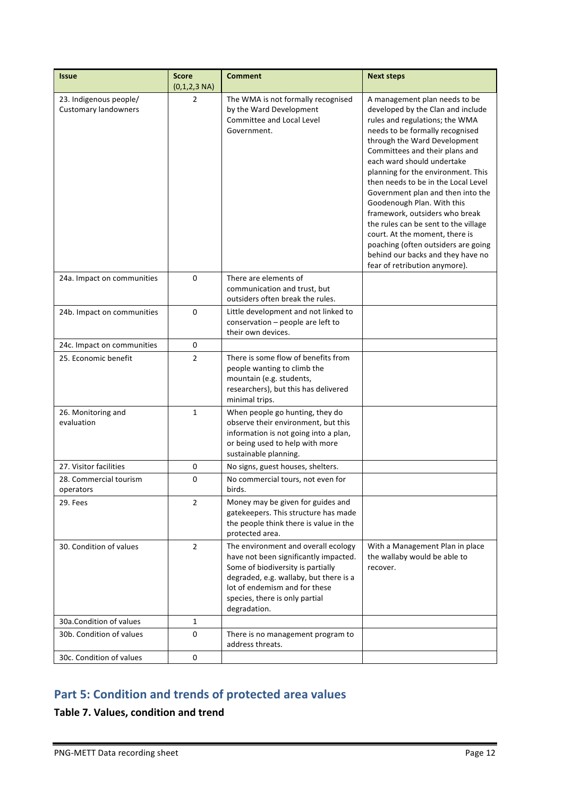| <b>Issue</b>                                          | <b>Score</b><br>$(0,1,2,3 \text{ NA})$ | <b>Comment</b>                                                                                                                                                                                                                                 | <b>Next steps</b>                                                                                                                                                                                                                                                                                                                                                                                                                                                                                                                                                                                                |
|-------------------------------------------------------|----------------------------------------|------------------------------------------------------------------------------------------------------------------------------------------------------------------------------------------------------------------------------------------------|------------------------------------------------------------------------------------------------------------------------------------------------------------------------------------------------------------------------------------------------------------------------------------------------------------------------------------------------------------------------------------------------------------------------------------------------------------------------------------------------------------------------------------------------------------------------------------------------------------------|
| 23. Indigenous people/<br><b>Customary landowners</b> | 2                                      | The WMA is not formally recognised<br>by the Ward Development<br><b>Committee and Local Level</b><br>Government.                                                                                                                               | A management plan needs to be<br>developed by the Clan and include<br>rules and regulations; the WMA<br>needs to be formally recognised<br>through the Ward Development<br>Committees and their plans and<br>each ward should undertake<br>planning for the environment. This<br>then needs to be in the Local Level<br>Government plan and then into the<br>Goodenough Plan. With this<br>framework, outsiders who break<br>the rules can be sent to the village<br>court. At the moment, there is<br>poaching (often outsiders are going<br>behind our backs and they have no<br>fear of retribution anymore). |
| 24a. Impact on communities                            | 0                                      | There are elements of<br>communication and trust, but<br>outsiders often break the rules.                                                                                                                                                      |                                                                                                                                                                                                                                                                                                                                                                                                                                                                                                                                                                                                                  |
| 24b. Impact on communities                            | 0                                      | Little development and not linked to<br>conservation - people are left to<br>their own devices.                                                                                                                                                |                                                                                                                                                                                                                                                                                                                                                                                                                                                                                                                                                                                                                  |
| 24c. Impact on communities                            | 0                                      |                                                                                                                                                                                                                                                |                                                                                                                                                                                                                                                                                                                                                                                                                                                                                                                                                                                                                  |
| 25. Economic benefit                                  | $\overline{2}$                         | There is some flow of benefits from<br>people wanting to climb the<br>mountain (e.g. students,<br>researchers), but this has delivered<br>minimal trips.                                                                                       |                                                                                                                                                                                                                                                                                                                                                                                                                                                                                                                                                                                                                  |
| 26. Monitoring and<br>evaluation                      | $\mathbf{1}$                           | When people go hunting, they do<br>observe their environment, but this<br>information is not going into a plan,<br>or being used to help with more<br>sustainable planning.                                                                    |                                                                                                                                                                                                                                                                                                                                                                                                                                                                                                                                                                                                                  |
| 27. Visitor facilities                                | 0                                      | No signs, guest houses, shelters.                                                                                                                                                                                                              |                                                                                                                                                                                                                                                                                                                                                                                                                                                                                                                                                                                                                  |
| 28. Commercial tourism<br>operators                   | 0                                      | No commercial tours, not even for<br>birds.                                                                                                                                                                                                    |                                                                                                                                                                                                                                                                                                                                                                                                                                                                                                                                                                                                                  |
| 29. Fees                                              | $\overline{2}$                         | Money may be given for guides and<br>gatekeepers. This structure has made<br>the people think there is value in the<br>protected area.                                                                                                         |                                                                                                                                                                                                                                                                                                                                                                                                                                                                                                                                                                                                                  |
| 30. Condition of values                               | $\overline{2}$                         | The environment and overall ecology<br>have not been significantly impacted.<br>Some of biodiversity is partially<br>degraded, e.g. wallaby, but there is a<br>lot of endemism and for these<br>species, there is only partial<br>degradation. | With a Management Plan in place<br>the wallaby would be able to<br>recover.                                                                                                                                                                                                                                                                                                                                                                                                                                                                                                                                      |
| 30a.Condition of values                               | $\mathbf{1}$                           |                                                                                                                                                                                                                                                |                                                                                                                                                                                                                                                                                                                                                                                                                                                                                                                                                                                                                  |
| 30b. Condition of values                              | 0                                      | There is no management program to<br>address threats.                                                                                                                                                                                          |                                                                                                                                                                                                                                                                                                                                                                                                                                                                                                                                                                                                                  |
| 30c. Condition of values                              | 0                                      |                                                                                                                                                                                                                                                |                                                                                                                                                                                                                                                                                                                                                                                                                                                                                                                                                                                                                  |

## **Part 5: Condition and trends of protected area values**

#### **Table 7. Values, condition and trend**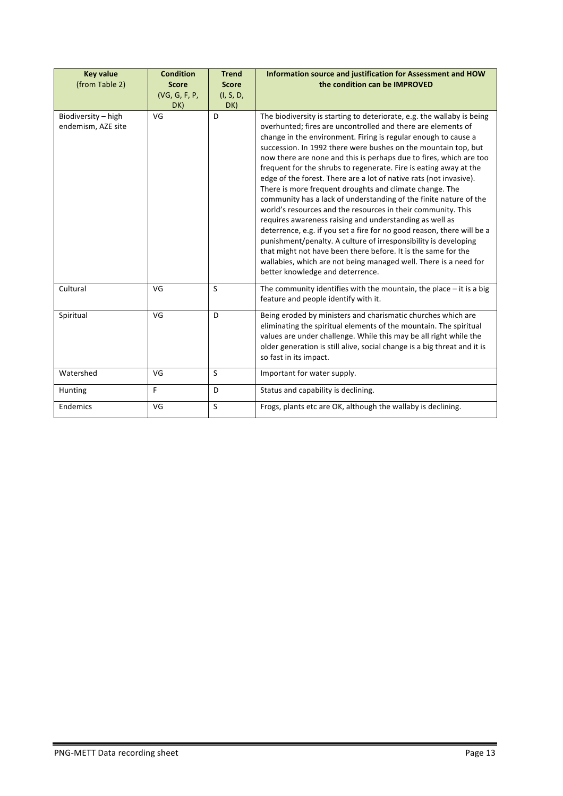| <b>Key value</b><br>(from Table 2)        | <b>Condition</b><br><b>Score</b><br>(VG, G, F, P,<br>DK) | <b>Trend</b><br><b>Score</b><br>(I, S, D,<br>DK) | Information source and justification for Assessment and HOW<br>the condition can be IMPROVED                                                                                                                                                                                                                                                                                                                                                                                                                                                                                                                                                                                                                                                                                                                                                                                                                                                                                                                                                                                 |
|-------------------------------------------|----------------------------------------------------------|--------------------------------------------------|------------------------------------------------------------------------------------------------------------------------------------------------------------------------------------------------------------------------------------------------------------------------------------------------------------------------------------------------------------------------------------------------------------------------------------------------------------------------------------------------------------------------------------------------------------------------------------------------------------------------------------------------------------------------------------------------------------------------------------------------------------------------------------------------------------------------------------------------------------------------------------------------------------------------------------------------------------------------------------------------------------------------------------------------------------------------------|
| Biodiversity - high<br>endemism, AZE site | VG                                                       | D                                                | The biodiversity is starting to deteriorate, e.g. the wallaby is being<br>overhunted; fires are uncontrolled and there are elements of<br>change in the environment. Firing is regular enough to cause a<br>succession. In 1992 there were bushes on the mountain top, but<br>now there are none and this is perhaps due to fires, which are too<br>frequent for the shrubs to regenerate. Fire is eating away at the<br>edge of the forest. There are a lot of native rats (not invasive).<br>There is more frequent droughts and climate change. The<br>community has a lack of understanding of the finite nature of the<br>world's resources and the resources in their community. This<br>requires awareness raising and understanding as well as<br>deterrence, e.g. if you set a fire for no good reason, there will be a<br>punishment/penalty. A culture of irresponsibility is developing<br>that might not have been there before. It is the same for the<br>wallabies, which are not being managed well. There is a need for<br>better knowledge and deterrence. |
| Cultural                                  | VG                                                       | S                                                | The community identifies with the mountain, the place $-$ it is a big<br>feature and people identify with it.                                                                                                                                                                                                                                                                                                                                                                                                                                                                                                                                                                                                                                                                                                                                                                                                                                                                                                                                                                |
| Spiritual                                 | VG                                                       | D                                                | Being eroded by ministers and charismatic churches which are<br>eliminating the spiritual elements of the mountain. The spiritual<br>values are under challenge. While this may be all right while the<br>older generation is still alive, social change is a big threat and it is<br>so fast in its impact.                                                                                                                                                                                                                                                                                                                                                                                                                                                                                                                                                                                                                                                                                                                                                                 |
| Watershed                                 | VG                                                       | S                                                | Important for water supply.                                                                                                                                                                                                                                                                                                                                                                                                                                                                                                                                                                                                                                                                                                                                                                                                                                                                                                                                                                                                                                                  |
| Hunting                                   | F                                                        | D                                                | Status and capability is declining.                                                                                                                                                                                                                                                                                                                                                                                                                                                                                                                                                                                                                                                                                                                                                                                                                                                                                                                                                                                                                                          |
| Endemics                                  | VG                                                       | S                                                | Frogs, plants etc are OK, although the wallaby is declining.                                                                                                                                                                                                                                                                                                                                                                                                                                                                                                                                                                                                                                                                                                                                                                                                                                                                                                                                                                                                                 |